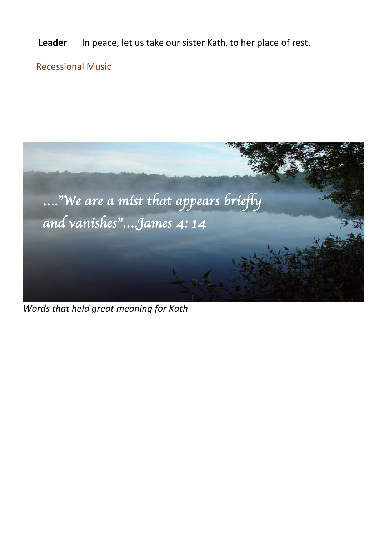**Leader** In peace, let us take our sister Kath, to her place of rest. Recessional Music



*Words that held great meaning for Kath*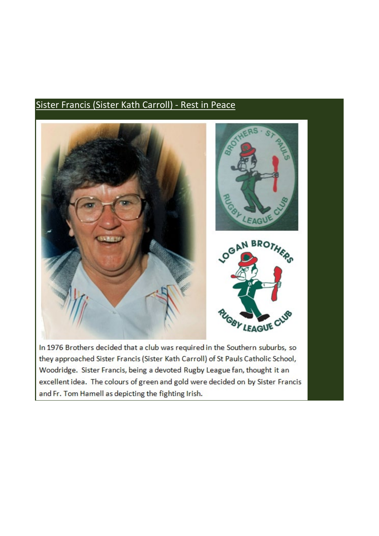# Sister Francis (Sister Kath Carroll) - Rest in Peace



In 1976 Brothers decided that a club was required in the Southern suburbs, so they approached Sister Francis (Sister Kath Carroll) of St Pauls Catholic School, Woodridge. Sister Francis, being a devoted Rugby League fan, thought it an excellent idea. The colours of green and gold were decided on by Sister Francis and Fr. Tom Hamell as depicting the fighting Irish.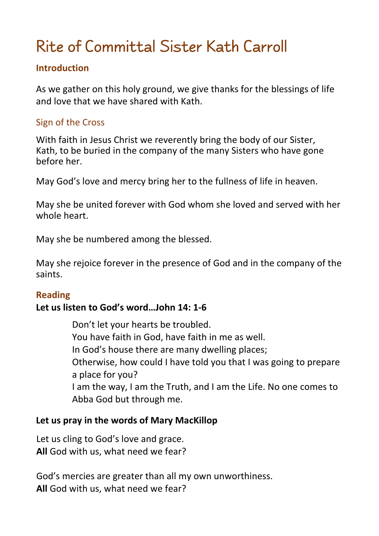# Rite of Committal Sister Kath Carroll

#### **Introduction**

As we gather on this holy ground, we give thanks for the blessings of life and love that we have shared with Kath.

### Sign of the Cross

With faith in Jesus Christ we reverently bring the body of our Sister, Kath, to be buried in the company of the many Sisters who have gone before her.

May God's love and mercy bring her to the fullness of life in heaven.

May she be united forever with God whom she loved and served with her whole heart.

May she be numbered among the blessed.

May she rejoice forever in the presence of God and in the company of the saints.

#### **Reading**

#### **Let us listen to God's word…John 14: 1-6**

Don't let your hearts be troubled. You have faith in God, have faith in me as well. In God's house there are many dwelling places; Otherwise, how could I have told you that I was going to prepare a place for you? I am the way, I am the Truth, and I am the Life. No one comes to Abba God but through me.

#### **Let us pray in the words of Mary MacKillop**

Let us cling to God's love and grace. **All** God with us, what need we fear?

God's mercies are greater than all my own unworthiness. **All** God with us, what need we fear?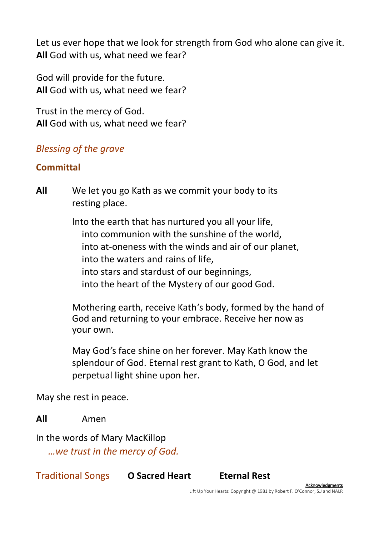Let us ever hope that we look for strength from God who alone can give it. **All** God with us, what need we fear?

God will provide for the future. **All** God with us, what need we fear?

Trust in the mercy of God. **All** God with us, what need we fear?

## *Blessing of the grave*

# **Committal**

**All** We let you go Kath as we commit your body to its resting place.

> Into the earth that has nurtured you all your life, into communion with the sunshine of the world, into at-oneness with the winds and air of our planet, into the waters and rains of life, into stars and stardust of our beginnings, into the heart of the Mystery of our good God.

Mothering earth, receive Kath*'*s body, formed by the hand of God and returning to your embrace. Receive her now as your own.

May God*'*s face shine on her forever. May Kath know the splendour of God. Eternal rest grant to Kath, O God, and let perpetual light shine upon her.

May she rest in peace.

**All** Amen

In the words of Mary MacKillop

*…we trust in the mercy of God.*

Traditional Songs **O Sacred Heart Eternal Rest**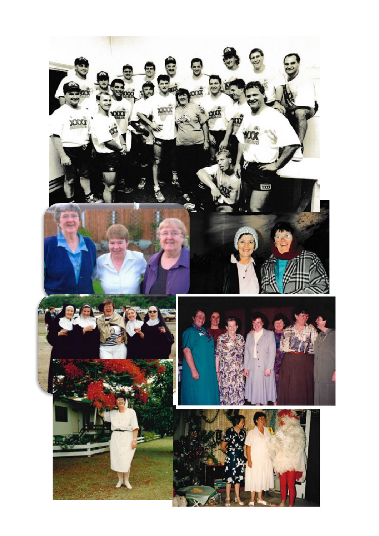